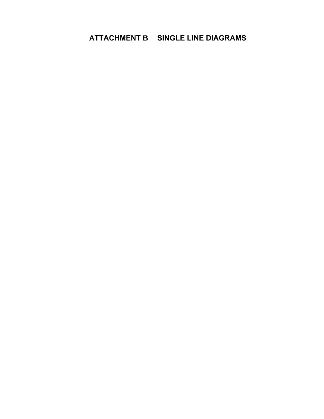## **ATTACHMENT B SINGLE LINE DIAGRAMS**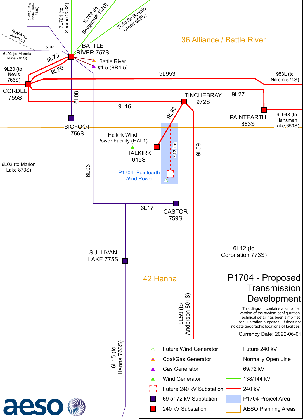